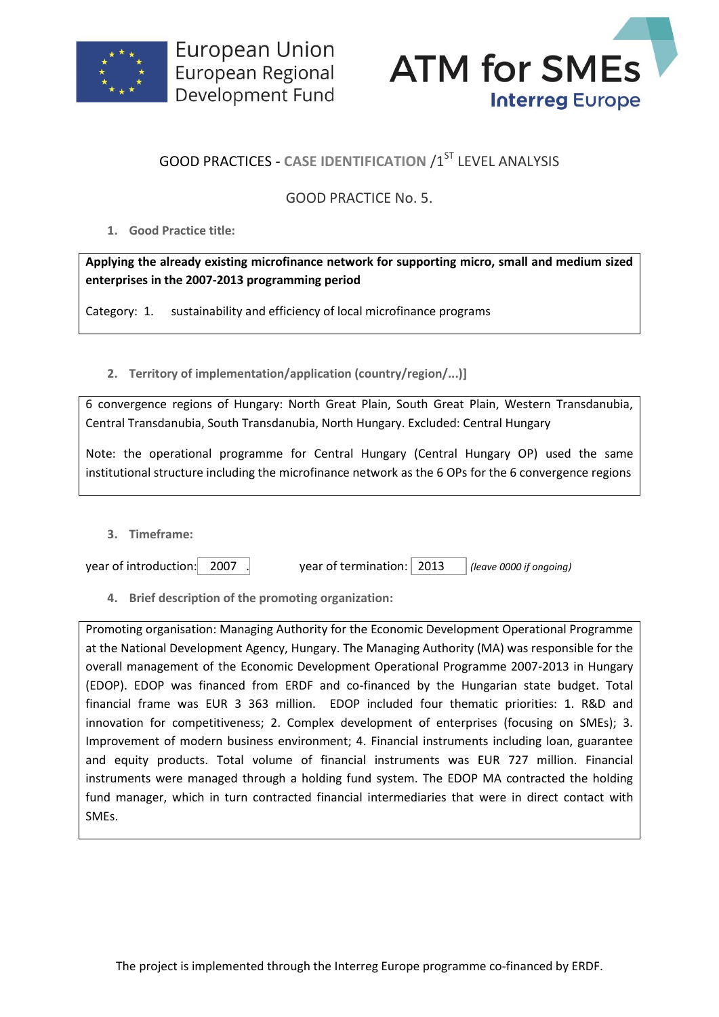



## **GOOD PRACTICES - CASE IDENTIFICATION /1ST LEVEL ANALYSIS**

## GOOD PRACTICE No. 5.

**1. Good Practice title:**

**Applying the already existing microfinance network for supporting micro, small and medium sized enterprises in the 2007-2013 programming period**

Category: 1. sustainability and efficiency of local microfinance programs

**2. Territory of implementation/application (country/region/...)]**

6 convergence regions of Hungary: North Great Plain, South Great Plain, Western Transdanubia, Central Transdanubia, South Transdanubia, North Hungary. Excluded: Central Hungary

Note: the operational programme for Central Hungary (Central Hungary OP) used the same institutional structure including the microfinance network as the 6 OPs for the 6 convergence regions

**3. Timeframe:**

year of introduction: 2007 . year of termination: 2013 *(leave 0000 if ongoing)*

**4. Brief description of the promoting organization:**

Promoting organisation: Managing Authority for the Economic Development Operational Programme at the National Development Agency, Hungary. The Managing Authority (MA) was responsible for the overall management of the Economic Development Operational Programme 2007-2013 in Hungary (EDOP). EDOP was financed from ERDF and co-financed by the Hungarian state budget. Total financial frame was EUR 3 363 million. EDOP included four thematic priorities: 1. R&D and innovation for competitiveness; 2. Complex development of enterprises (focusing on SMEs); 3. Improvement of modern business environment; 4. Financial instruments including loan, guarantee and equity products. Total volume of financial instruments was EUR 727 million. Financial instruments were managed through a holding fund system. The EDOP MA contracted the holding fund manager, which in turn contracted financial intermediaries that were in direct contact with SMEs.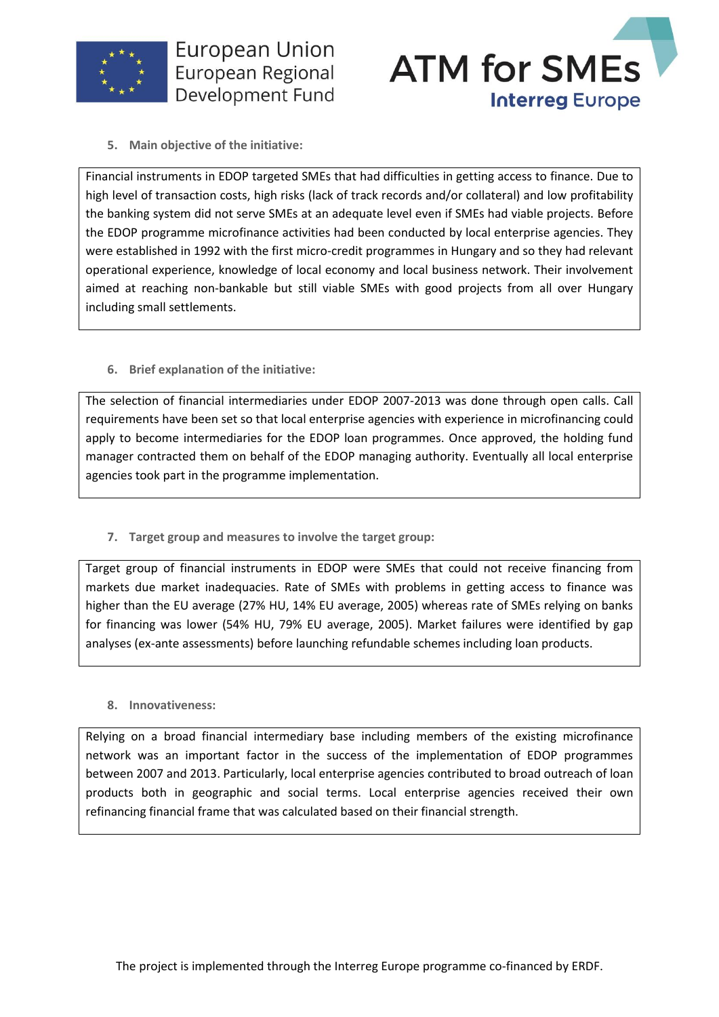



**5. Main objective of the initiative:**

Financial instruments in EDOP targeted SMEs that had difficulties in getting access to finance. Due to high level of transaction costs, high risks (lack of track records and/or collateral) and low profitability the banking system did not serve SMEs at an adequate level even if SMEs had viable projects. Before the EDOP programme microfinance activities had been conducted by local enterprise agencies. They were established in 1992 with the first micro-credit programmes in Hungary and so they had relevant operational experience, knowledge of local economy and local business network. Their involvement aimed at reaching non-bankable but still viable SMEs with good projects from all over Hungary including small settlements.

**6. Brief explanation of the initiative:**

The selection of financial intermediaries under EDOP 2007-2013 was done through open calls. Call requirements have been set so that local enterprise agencies with experience in microfinancing could apply to become intermediaries for the EDOP loan programmes. Once approved, the holding fund manager contracted them on behalf of the EDOP managing authority. Eventually all local enterprise agencies took part in the programme implementation.

**7. Target group and measures to involve the target group:**

Target group of financial instruments in EDOP were SMEs that could not receive financing from markets due market inadequacies. Rate of SMEs with problems in getting access to finance was higher than the EU average (27% HU, 14% EU average, 2005) whereas rate of SMEs relying on banks for financing was lower (54% HU, 79% EU average, 2005). Market failures were identified by gap analyses (ex-ante assessments) before launching refundable schemes including loan products.

**8. Innovativeness:**

Relying on a broad financial intermediary base including members of the existing microfinance network was an important factor in the success of the implementation of EDOP programmes between 2007 and 2013. Particularly, local enterprise agencies contributed to broad outreach of loan products both in geographic and social terms. Local enterprise agencies received their own refinancing financial frame that was calculated based on their financial strength.